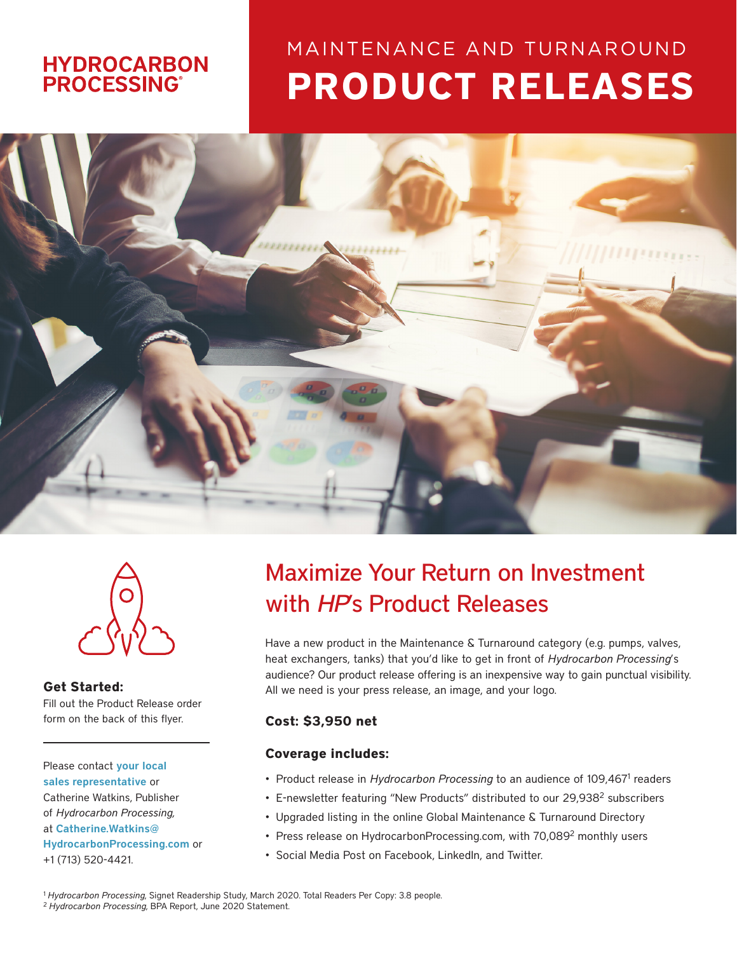### **HYDROCARBON PROCESSING®**

# **PRODUCT RELEASES** MAINTENANCE AND TURNAROUND





**Get Started:** Fill out the Product Release order form on the back of this flyer.

Please contact your local [sales representative](https://www.hydrocarbonprocessing.com/pages/advertising-contacts) or Catherine Watkins, Publisher of *Hydrocarbon Processing,* at [Catherine.Watkins@](mailto:Catherine.Watkins%40%20HydrocarbonProcessing.com?subject=HP%20Product%20Release) 

[HydrocarbonProcessing.com](mailto:Catherine.Watkins%40%20HydrocarbonProcessing.com?subject=HP%20Product%20Release) or +1 (713) 520-4421.

## Maximize Your Return on Investment with *HP*'s Product Releases

Have a new product in the Maintenance & Turnaround category (e.g. pumps, valves, heat exchangers, tanks) that you'd like to get in front of *Hydrocarbon Processing*'s audience? Our product release offering is an inexpensive way to gain punctual visibility. All we need is your press release, an image, and your logo.

#### **Cost: \$3,950 net**

#### **Coverage includes:**

- Product release in Hydrocarbon Processing to an audience of 109,467<sup>1</sup> readers
- E-newsletter featuring "New Products" distributed to our 29,938<sup>2</sup> subscribers
- Upgraded listing in the online Global Maintenance & Turnaround Directory
- Press release on HydrocarbonProcessing.com, with 70,089<sup>2</sup> monthly users
- Social Media Post on Facebook, LinkedIn, and Twitter.

<sup>1</sup>*Hydrocarbon Processing*, Signet Readership Study, March 2020. Total Readers Per Copy: 3.8 people. 2 *Hydrocarbon Processing*, BPA Report, June 2020 Statement.